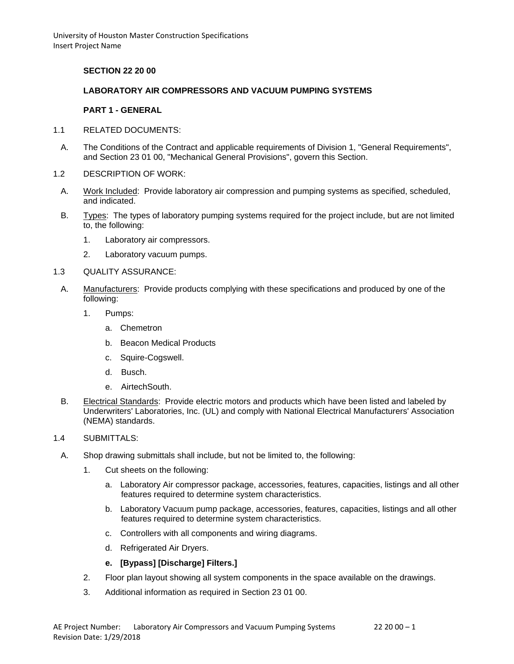## **SECTION 22 20 00**

### **LABORATORY AIR COMPRESSORS AND VACUUM PUMPING SYSTEMS**

### **PART 1 - GENERAL**

- 1.1 RELATED DOCUMENTS:
	- A. The Conditions of the Contract and applicable requirements of Division 1, "General Requirements", and Section 23 01 00, "Mechanical General Provisions", govern this Section.
- 1.2 DESCRIPTION OF WORK:
- A. Work Included: Provide laboratory air compression and pumping systems as specified, scheduled, and indicated.
- B. Types: The types of laboratory pumping systems required for the project include, but are not limited to, the following:
	- 1. Laboratory air compressors.
	- 2. Laboratory vacuum pumps.

#### 1.3 QUALITY ASSURANCE:

- A. Manufacturers: Provide products complying with these specifications and produced by one of the following:
	- 1. Pumps:
		- a. Chemetron
		- b. Beacon Medical Products
		- c. Squire-Cogswell.
		- d. Busch.
		- e. AirtechSouth.
- B. Electrical Standards: Provide electric motors and products which have been listed and labeled by Underwriters' Laboratories, Inc. (UL) and comply with National Electrical Manufacturers' Association (NEMA) standards.

## 1.4 SUBMITTALS:

- A. Shop drawing submittals shall include, but not be limited to, the following:
	- 1. Cut sheets on the following:
		- a. Laboratory Air compressor package, accessories, features, capacities, listings and all other features required to determine system characteristics.
		- b. Laboratory Vacuum pump package, accessories, features, capacities, listings and all other features required to determine system characteristics.
		- c. Controllers with all components and wiring diagrams.
		- d. Refrigerated Air Dryers.

### **e. [Bypass] [Discharge] Filters.]**

- 2. Floor plan layout showing all system components in the space available on the drawings.
- 3. Additional information as required in Section 23 01 00.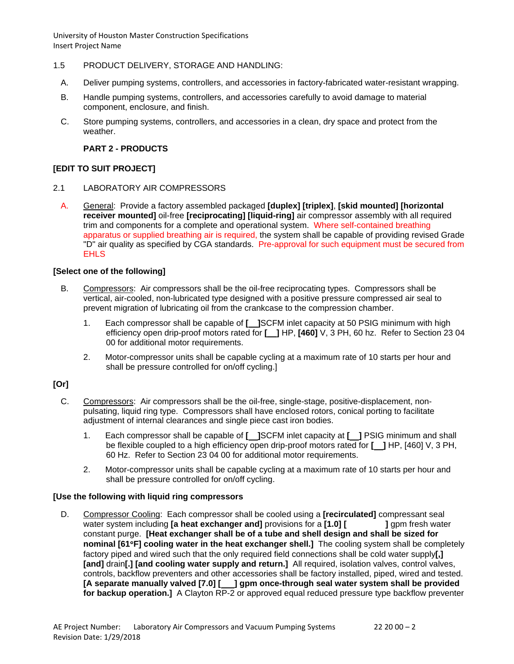- 1.5 PRODUCT DELIVERY, STORAGE AND HANDLING:
	- A. Deliver pumping systems, controllers, and accessories in factory-fabricated water-resistant wrapping.
	- B. Handle pumping systems, controllers, and accessories carefully to avoid damage to material component, enclosure, and finish.
	- C. Store pumping systems, controllers, and accessories in a clean, dry space and protect from the weather.

## **PART 2 - PRODUCTS**

## **[EDIT TO SUIT PROJECT]**

- 2.1 LABORATORY AIR COMPRESSORS
	- A. General: Provide a factory assembled packaged **[duplex] [triplex]**, **[skid mounted] [horizontal receiver mounted]** oil-free **[reciprocating] [liquid-ring]** air compressor assembly with all required trim and components for a complete and operational system. Where self-contained breathing apparatus or supplied breathing air is required, the system shall be capable of providing revised Grade "D" air quality as specified by CGA standards. Pre-approval for such equipment must be secured from **EHLS**

### **[Select one of the following]**

- B. Compressors: Air compressors shall be the oil-free reciprocating types. Compressors shall be vertical, air-cooled, non-lubricated type designed with a positive pressure compressed air seal to prevent migration of lubricating oil from the crankcase to the compression chamber.
	- 1. Each compressor shall be capable of **[ ]**SCFM inlet capacity at 50 PSIG minimum with high efficiency open drip-proof motors rated for **[ ]** HP, **[460]** V, 3 PH, 60 hz. Refer to Section 23 04 00 for additional motor requirements.
	- 2. Motor-compressor units shall be capable cycling at a maximum rate of 10 starts per hour and shall be pressure controlled for on/off cycling.]

### **[Or]**

- C. Compressors: Air compressors shall be the oil-free, single-stage, positive-displacement, nonpulsating, liquid ring type. Compressors shall have enclosed rotors, conical porting to facilitate adjustment of internal clearances and single piece cast iron bodies.
	- 1. Each compressor shall be capable of **[ ]**SCFM inlet capacity at **[ ]** PSIG minimum and shall be flexible coupled to a high efficiency open drip-proof motors rated for **[ ]** HP, [460] V, 3 PH, 60 Hz. Refer to Section 23 04 00 for additional motor requirements.
	- 2. Motor-compressor units shall be capable cycling at a maximum rate of 10 starts per hour and shall be pressure controlled for on/off cycling.

### **[Use the following with liquid ring compressors**

D. Compressor Cooling: Each compressor shall be cooled using a **[recirculated]** compressant seal water system including **[a heat exchanger and]** provisions for a **[1.0] [ ]** gpm fresh water constant purge. **[Heat exchanger shall be of a tube and shell design and shall be sized for nominal [61**°**F] cooling water in the heat exchanger shell.]** The cooling system shall be completely factory piped and wired such that the only required field connections shall be cold water supply**[,] [and]** drain**[.] [and cooling water supply and return.]** All required, isolation valves, control valves, controls, backflow preventers and other accessories shall be factory installed, piped, wired and tested. **[A separate manually valved [7.0] [ ] gpm once-through seal water system shall be provided for backup operation.]** A Clayton RP-2 or approved equal reduced pressure type backflow preventer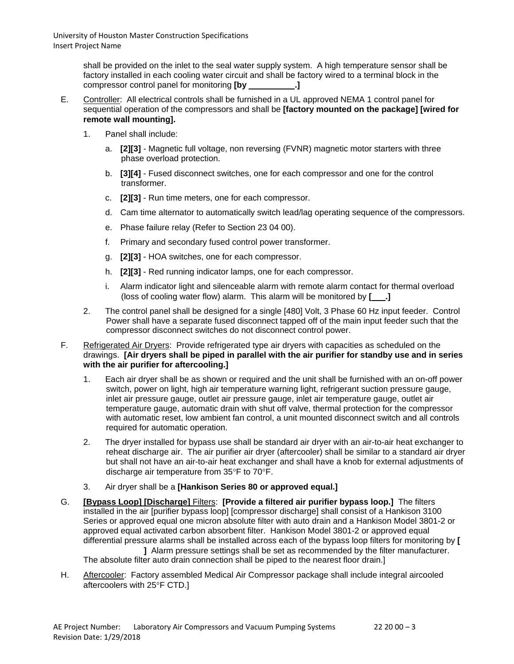shall be provided on the inlet to the seal water supply system. A high temperature sensor shall be factory installed in each cooling water circuit and shall be factory wired to a terminal block in the compressor control panel for monitoring **[by .]**

- E. Controller: All electrical controls shall be furnished in a UL approved NEMA 1 control panel for sequential operation of the compressors and shall be **[factory mounted on the package] [wired for remote wall mounting].**
	- 1. Panel shall include:
		- a. **[2][3]** Magnetic full voltage, non reversing (FVNR) magnetic motor starters with three phase overload protection.
		- b. **[3][4]** Fused disconnect switches, one for each compressor and one for the control transformer.
		- c. **[2][3]** Run time meters, one for each compressor.
		- d. Cam time alternator to automatically switch lead/lag operating sequence of the compressors.
		- e. Phase failure relay (Refer to Section 23 04 00).
		- f. Primary and secondary fused control power transformer.
		- g. **[2][3]** HOA switches, one for each compressor.
		- h. **[2][3]** Red running indicator lamps, one for each compressor.
		- i. Alarm indicator light and silenceable alarm with remote alarm contact for thermal overload (loss of cooling water flow) alarm. This alarm will be monitored by **[ .]**
	- 2. The control panel shall be designed for a single [480] Volt, 3 Phase 60 Hz input feeder. Control Power shall have a separate fused disconnect tapped off of the main input feeder such that the compressor disconnect switches do not disconnect control power.

## F. Refrigerated Air Dryers: Provide refrigerated type air dryers with capacities as scheduled on the drawings. **[Air dryers shall be piped in parallel with the air purifier for standby use and in series with the air purifier for aftercooling.]**

- 1. Each air dryer shall be as shown or required and the unit shall be furnished with an on-off power switch, power on light, high air temperature warning light, refrigerant suction pressure gauge, inlet air pressure gauge, outlet air pressure gauge, inlet air temperature gauge, outlet air temperature gauge, automatic drain with shut off valve, thermal protection for the compressor with automatic reset, low ambient fan control, a unit mounted disconnect switch and all controls required for automatic operation.
- 2. The dryer installed for bypass use shall be standard air dryer with an air-to-air heat exchanger to reheat discharge air. The air purifier air dryer (aftercooler) shall be similar to a standard air dryer but shall not have an air-to-air heat exchanger and shall have a knob for external adjustments of discharge air temperature from 35°F to 70°F.
- 3. Air dryer shall be a **[Hankison Series 80 or approved equal.]**
- G. **[Bypass Loop] [Discharge]** Filters: **[Provide a filtered air purifier bypass loop.]** The filters installed in the air [purifier bypass loop] [compressor discharge] shall consist of a Hankison 3100 Series or approved equal one micron absolute filter with auto drain and a Hankison Model 3801-2 or approved equal activated carbon absorbent filter. Hankison Model 3801-2 or approved equal differential pressure alarms shall be installed across each of the bypass loop filters for monitoring by **[**

**]** Alarm pressure settings shall be set as recommended by the filter manufacturer. The absolute filter auto drain connection shall be piped to the nearest floor drain.]

H. Aftercooler: Factory assembled Medical Air Compressor package shall include integral aircooled aftercoolers with 25°F CTD.]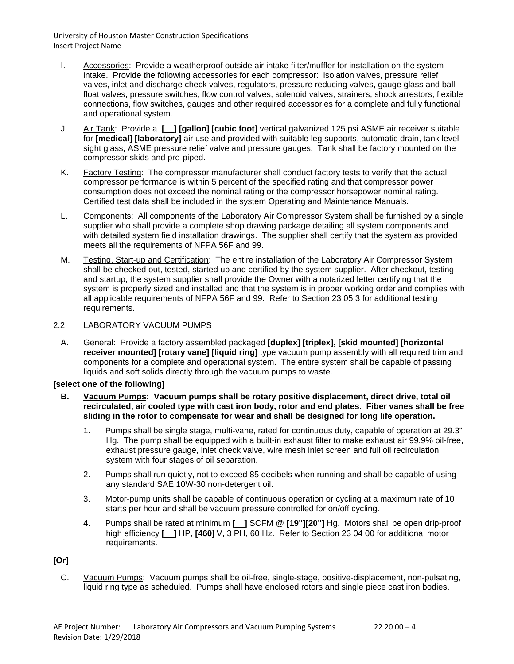- I. Accessories: Provide a weatherproof outside air intake filter/muffler for installation on the system intake. Provide the following accessories for each compressor: isolation valves, pressure relief valves, inlet and discharge check valves, regulators, pressure reducing valves, gauge glass and ball float valves, pressure switches, flow control valves, solenoid valves, strainers, shock arrestors, flexible connections, flow switches, gauges and other required accessories for a complete and fully functional and operational system.
- J. Air Tank: Provide a **[ ] [gallon] [cubic foot]** vertical galvanized 125 psi ASME air receiver suitable for **[medical] [laboratory]** air use and provided with suitable leg supports, automatic drain, tank level sight glass, ASME pressure relief valve and pressure gauges. Tank shall be factory mounted on the compressor skids and pre-piped.
- K. Factory Testing: The compressor manufacturer shall conduct factory tests to verify that the actual compressor performance is within 5 percent of the specified rating and that compressor power consumption does not exceed the nominal rating or the compressor horsepower nominal rating. Certified test data shall be included in the system Operating and Maintenance Manuals.
- L. Components: All components of the Laboratory Air Compressor System shall be furnished by a single supplier who shall provide a complete shop drawing package detailing all system components and with detailed system field installation drawings. The supplier shall certify that the system as provided meets all the requirements of NFPA 56F and 99.
- M. Testing, Start-up and Certification: The entire installation of the Laboratory Air Compressor System shall be checked out, tested, started up and certified by the system supplier. After checkout, testing and startup, the system supplier shall provide the Owner with a notarized letter certifying that the system is properly sized and installed and that the system is in proper working order and complies with all applicable requirements of NFPA 56F and 99. Refer to Section 23 05 3 for additional testing requirements.

## 2.2 LABORATORY VACUUM PUMPS

A. General: Provide a factory assembled packaged **[duplex] [triplex], [skid mounted] [horizontal receiver mounted] [rotary vane] [liquid ring]** type vacuum pump assembly with all required trim and components for a complete and operational system. The entire system shall be capable of passing liquids and soft solids directly through the vacuum pumps to waste.

### **[select one of the following]**

- **B. Vacuum Pumps: Vacuum pumps shall be rotary positive displacement, direct drive, total oil recirculated, air cooled type with cast iron body, rotor and end plates. Fiber vanes shall be free sliding in the rotor to compensate for wear and shall be designed for long life operation.**
	- 1. Pumps shall be single stage, multi-vane, rated for continuous duty, capable of operation at 29.3" Hg. The pump shall be equipped with a built-in exhaust filter to make exhaust air 99.9% oil-free, exhaust pressure gauge, inlet check valve, wire mesh inlet screen and full oil recirculation system with four stages of oil separation.
	- 2. Pumps shall run quietly, not to exceed 85 decibels when running and shall be capable of using any standard SAE 10W-30 non-detergent oil.
	- 3. Motor-pump units shall be capable of continuous operation or cycling at a maximum rate of 10 starts per hour and shall be vacuum pressure controlled for on/off cycling.
	- 4. Pumps shall be rated at minimum **[ ]** SCFM @ **[19"][20"]** Hg. Motors shall be open drip-proof high efficiency **[ ]** HP, **[460**] V, 3 PH, 60 Hz. Refer to Section 23 04 00 for additional motor requirements.

## **[Or]**

C. Vacuum Pumps: Vacuum pumps shall be oil-free, single-stage, positive-displacement, non-pulsating, liquid ring type as scheduled. Pumps shall have enclosed rotors and single piece cast iron bodies.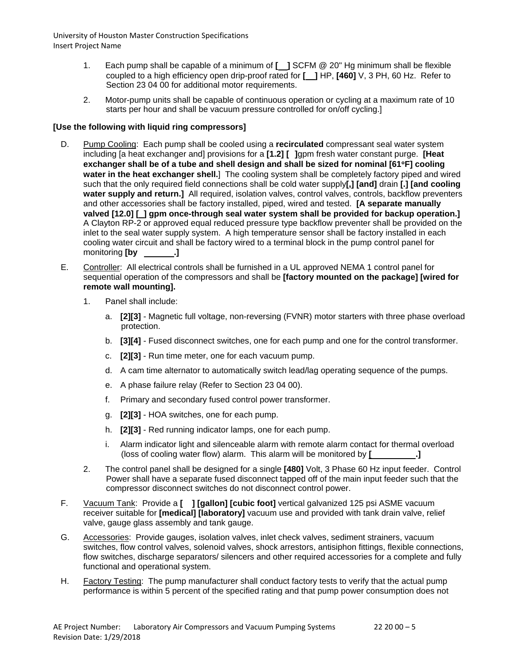- 1. Each pump shall be capable of a minimum of **[ ]** SCFM @ 20" Hg minimum shall be flexible coupled to a high efficiency open drip-proof rated for **[ ]** HP, **[460]** V, 3 PH, 60 Hz. Refer to Section 23 04 00 for additional motor requirements.
- 2. Motor-pump units shall be capable of continuous operation or cycling at a maximum rate of 10 starts per hour and shall be vacuum pressure controlled for on/off cycling.]

## **[Use the following with liquid ring compressors]**

- D. Pump Cooling: Each pump shall be cooled using a **recirculated** compressant seal water system including [a heat exchanger and] provisions for a **[1.2] [ ]**gpm fresh water constant purge. **[Heat exchanger shall be of a tube and shell design and shall be sized for nominal [61**°**F] cooling water in the heat exchanger shell.**] The cooling system shall be completely factory piped and wired such that the only required field connections shall be cold water supply**[,] [and]** drain **[.] [and cooling**  water supply and return.] All required, isolation valves, control valves, controls, backflow preventers and other accessories shall be factory installed, piped, wired and tested. **[A separate manually valved [12.0] [ ] gpm once-through seal water system shall be provided for backup operation.]** A Clayton RP-2 or approved equal reduced pressure type backflow preventer shall be provided on the inlet to the seal water supply system. A high temperature sensor shall be factory installed in each cooling water circuit and shall be factory wired to a terminal block in the pump control panel for monitoring **[by .]**
- E. Controller: All electrical controls shall be furnished in a UL approved NEMA 1 control panel for sequential operation of the compressors and shall be **[factory mounted on the package] [wired for remote wall mounting].**
	- 1. Panel shall include:
		- a. **[2][3]** Magnetic full voltage, non-reversing (FVNR) motor starters with three phase overload protection.
		- b. **[3][4]** Fused disconnect switches, one for each pump and one for the control transformer.
		- c. **[2][3]** Run time meter, one for each vacuum pump.
		- d. A cam time alternator to automatically switch lead/lag operating sequence of the pumps.
		- e. A phase failure relay (Refer to Section 23 04 00).
		- f. Primary and secondary fused control power transformer.
		- g. **[2][3]** HOA switches, one for each pump.
		- h. **[2][3]** Red running indicator lamps, one for each pump.
		- i. Alarm indicator light and silenceable alarm with remote alarm contact for thermal overload (loss of cooling water flow) alarm. This alarm will be monitored by **[ .]**
	- 2. The control panel shall be designed for a single **[480]** Volt, 3 Phase 60 Hz input feeder. Control Power shall have a separate fused disconnect tapped off of the main input feeder such that the compressor disconnect switches do not disconnect control power.
- F. Vacuum Tank: Provide a **[ ] [gallon] [cubic foot]** vertical galvanized 125 psi ASME vacuum receiver suitable for **[medical] [laboratory]** vacuum use and provided with tank drain valve, relief valve, gauge glass assembly and tank gauge.
- G. Accessories: Provide gauges, isolation valves, inlet check valves, sediment strainers, vacuum switches, flow control valves, solenoid valves, shock arrestors, antisiphon fittings, flexible connections, flow switches, discharge separators/ silencers and other required accessories for a complete and fully functional and operational system.
- H. Factory Testing: The pump manufacturer shall conduct factory tests to verify that the actual pump performance is within 5 percent of the specified rating and that pump power consumption does not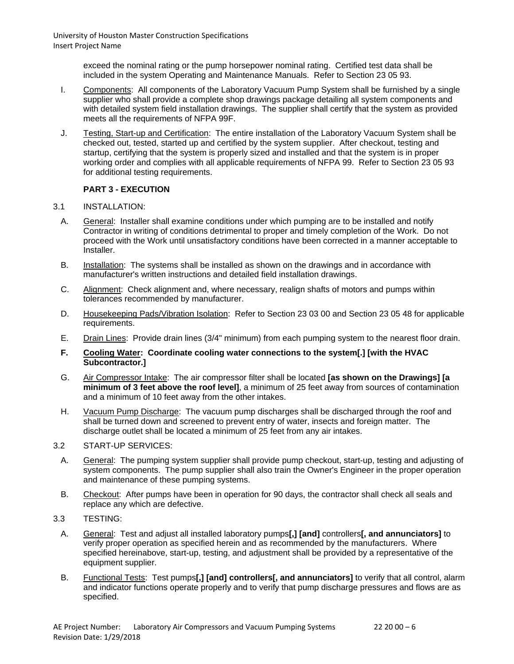> exceed the nominal rating or the pump horsepower nominal rating. Certified test data shall be included in the system Operating and Maintenance Manuals. Refer to Section 23 05 93.

- I. Components: All components of the Laboratory Vacuum Pump System shall be furnished by a single supplier who shall provide a complete shop drawings package detailing all system components and with detailed system field installation drawings. The supplier shall certify that the system as provided meets all the requirements of NFPA 99F.
- J. Testing, Start-up and Certification: The entire installation of the Laboratory Vacuum System shall be checked out, tested, started up and certified by the system supplier. After checkout, testing and startup, certifying that the system is properly sized and installed and that the system is in proper working order and complies with all applicable requirements of NFPA 99. Refer to Section 23 05 93 for additional testing requirements.

# **PART 3 - EXECUTION**

## 3.1 INSTALLATION:

- A. General: Installer shall examine conditions under which pumping are to be installed and notify Contractor in writing of conditions detrimental to proper and timely completion of the Work. Do not proceed with the Work until unsatisfactory conditions have been corrected in a manner acceptable to Installer.
- B. Installation: The systems shall be installed as shown on the drawings and in accordance with manufacturer's written instructions and detailed field installation drawings.
- C. Alignment: Check alignment and, where necessary, realign shafts of motors and pumps within tolerances recommended by manufacturer.
- D. Housekeeping Pads/Vibration Isolation: Refer to Section 23 03 00 and Section 23 05 48 for applicable requirements.
- E. Drain Lines: Provide drain lines (3/4" minimum) from each pumping system to the nearest floor drain.
- **F. Cooling Water: Coordinate cooling water connections to the system[.] [with the HVAC Subcontractor.]**
- G. Air Compressor Intake: The air compressor filter shall be located **[as shown on the Drawings] [a minimum of 3 feet above the roof level]**, a minimum of 25 feet away from sources of contamination and a minimum of 10 feet away from the other intakes.
- H. Vacuum Pump Discharge: The vacuum pump discharges shall be discharged through the roof and shall be turned down and screened to prevent entry of water, insects and foreign matter. The discharge outlet shall be located a minimum of 25 feet from any air intakes.

### 3.2 START-UP SERVICES:

- A. General: The pumping system supplier shall provide pump checkout, start-up, testing and adjusting of system components. The pump supplier shall also train the Owner's Engineer in the proper operation and maintenance of these pumping systems.
- B. Checkout: After pumps have been in operation for 90 days, the contractor shall check all seals and replace any which are defective.
- 3.3 TESTING:
	- A. General: Test and adjust all installed laboratory pumps**[,] [and]** controllers**[, and annunciators]** to verify proper operation as specified herein and as recommended by the manufacturers. Where specified hereinabove, start-up, testing, and adjustment shall be provided by a representative of the equipment supplier.
	- B. Functional Tests: Test pumps**[,] [and] controllers[, and annunciators]** to verify that all control, alarm and indicator functions operate properly and to verify that pump discharge pressures and flows are as specified.